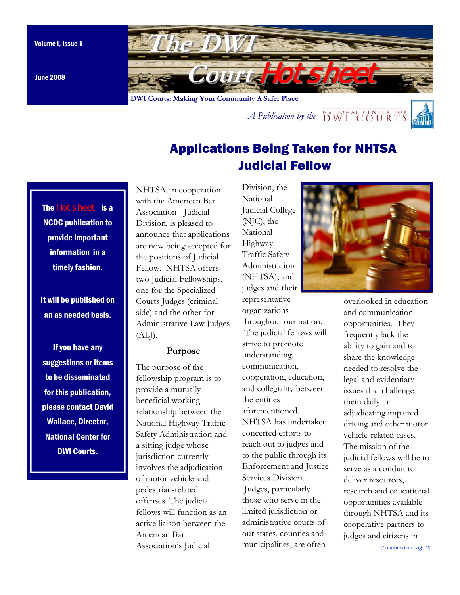

June 2008

*A Publication by the*  $\frac{NATIONALCENTER FOR}{DWT C OUTRTS}$ 

# Applications Being Taken for NHTSA Judicial Fellow

The Hotsheet is a NCDC publication to provide important information in a timely fashion.

It will be published on an as needed basis.

If you have any suggestions or items to be disseminated for this publication, please contact David Wallace, Director, National Center for DWI Courts.

NHTSA, in cooperation with the American Bar Association - Judicial Division, is pleased to announce that applications are now being accepted for the positions of Judicial Fellow. NHTSA offers two Judicial Fellowships, one for the Specialized Courts Judges (criminal side) and the other for Administrative Law Judges  $(ALJ).$ 

#### **Purpose**

The purpose of the fellowship program is to provide a mutually beneficial working relationship between the National Highway Traffic Safety Administration and a sitting judge whose jurisdiction currently involves the adjudication of motor vehicle and pedestrian-related offenses. The judicial fellows will function as an active liaison between the American Bar Association's Judicial

Division, the National Judicial College (NJC), the National Highway Traffic Safety Administration (NHTSA), and judges and their representative organizations throughout our nation. The judicial fellows will strive to promote understanding, communication, cooperation, education, and collegiality between the entities aforementioned. NHTSA has undertaken concerted efforts to reach out to judges and to the public through its Enforcement and Justice Services Division. Judges, particularly those who serve in the limited jurisdiction or administrative courts of our states, counties and municipalities, are often



overlooked in education and communication opportunities. They frequently lack the ability to gain and to share the knowledge needed to resolve the legal and evidentiary issues that challenge them daily in adjudicating impaired driving and other motor vehicle-related cases. The mission of the judicial fellows will be to serve as a conduit to deliver resources. research and educational opportunities available through NHTSA and its cooperative partners to judges and citizens in